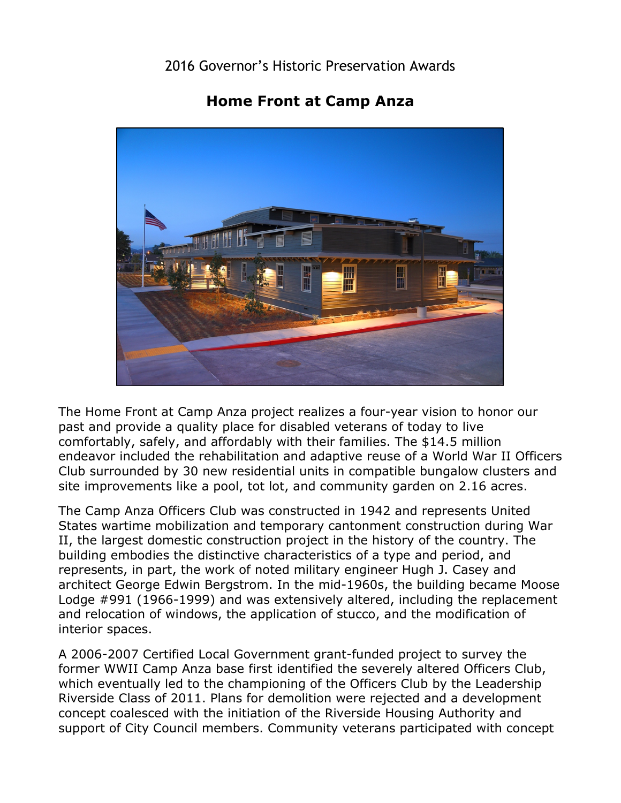## 2016 Governor's Historic Preservation Awards

## **Home Front at Camp Anza**



 past and provide a quality place for disabled veterans of today to live The Home Front at Camp Anza project realizes a four-year vision to honor our comfortably, safely, and affordably with their families. The \$14.5 million endeavor included the rehabilitation and adaptive reuse of a World War II Officers Club surrounded by 30 new residential units in compatible bungalow clusters and site improvements like a pool, tot lot, and community garden on 2.16 acres.

The Camp Anza Officers Club was constructed in 1942 and represents United States wartime mobilization and temporary cantonment construction during War II, the largest domestic construction project in the history of the country. The building embodies the distinctive characteristics of a type and period, and represents, in part, the work of noted military engineer Hugh J. Casey and architect George Edwin Bergstrom. In the mid-1960s, the building became Moose Lodge #991 (1966-1999) and was extensively altered, including the replacement and relocation of windows, the application of stucco, and the modification of interior spaces.

 A 2006-2007 Certified Local Government grant-funded project to survey the concept coalesced with the initiation of the Riverside Housing Authority and former WWII Camp Anza base first identified the severely altered Officers Club, which eventually led to the championing of the Officers Club by the Leadership Riverside Class of 2011. Plans for demolition were rejected and a development support of City Council members. Community veterans participated with concept